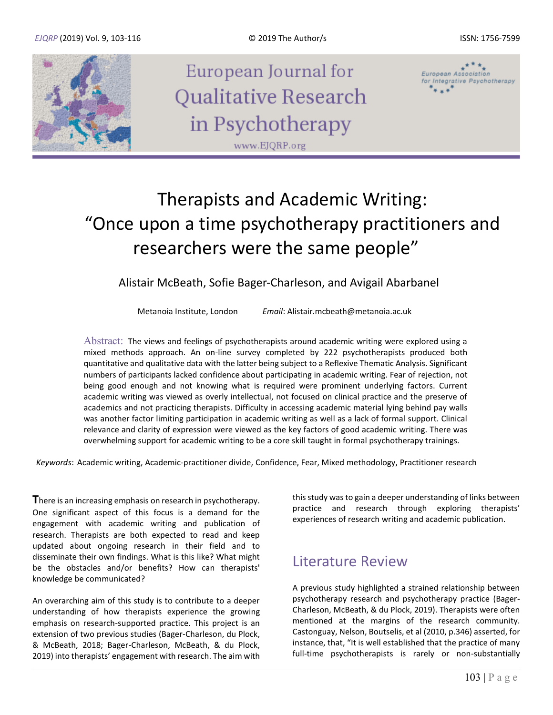

# Therapists and Academic Writing: "Once upon a time psychotherapy practitioners and researchers were the same people"

Alistair McBeath, Sofie Bager-Charleson, and Avigail Abarbanel

Metanoia Institute, London *Email*: Alistair.mcbeath@metanoia.ac.uk

Abstract: The views and feelings of psychotherapists around academic writing were explored using a mixed methods approach. An on-line survey completed by 222 psychotherapists produced both quantitative and qualitative data with the latter being subject to a Reflexive Thematic Analysis. Significant numbers of participants lacked confidence about participating in academic writing. Fear of rejection, not being good enough and not knowing what is required were prominent underlying factors. Current academic writing was viewed as overly intellectual, not focused on clinical practice and the preserve of academics and not practicing therapists. Difficulty in accessing academic material lying behind pay walls was another factor limiting participation in academic writing as well as a lack of formal support. Clinical relevance and clarity of expression were viewed as the key factors of good academic writing. There was overwhelming support for academic writing to be a core skill taught in formal psychotherapy trainings.

*Keywords*: Academic writing, Academic-practitioner divide, Confidence, Fear, Mixed methodology, Practitioner research

**T**here is an increasing emphasis on research in psychotherapy. One significant aspect of this focus is a demand for the engagement with academic writing and publication of research. Therapists are both expected to read and keep updated about ongoing research in their field and to disseminate their own findings. What is this like? What might be the obstacles and/or benefits? How can therapists' knowledge be communicated?

An overarching aim of this study is to contribute to a deeper understanding of how therapists experience the growing emphasis on research-supported practice. This project is an extension of two previous studies (Bager-Charleson, du Plock, & McBeath, 2018; Bager-Charleson, McBeath, & du Plock, 2019) into therapists' engagement with research. The aim with this study was to gain a deeper understanding of links between practice and research through exploring therapists' experiences of research writing and academic publication.

### Literature Review

A previous study highlighted a strained relationship between psychotherapy research and psychotherapy practice (Bager-Charleson, McBeath, & du Plock, 2019). Therapists were often mentioned at the margins of the research community. Castonguay, Nelson, Boutselis, et al (2010, p.346) asserted, for instance, that, "It is well established that the practice of many full-time psychotherapists is rarely or non-substantially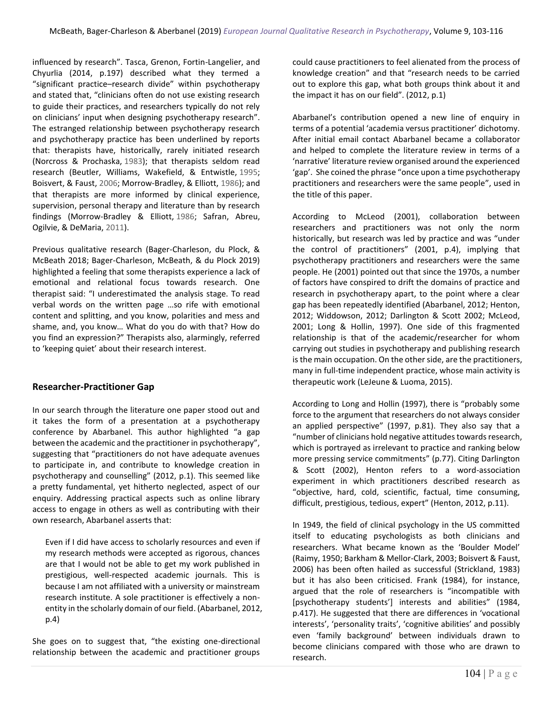influenced by research". Tasca, Grenon, Fortin-Langelier, and Chyurlia (2014, p.197) described what they termed a "significant practice–research divide" within psychotherapy and stated that, "clinicians often do not use existing research to guide their practices, and researchers typically do not rely on clinicians' input when designing psychotherapy research". The estranged relationship between psychotherapy research and psychotherapy practice has been underlined by reports that: therapists have, historically, rarely initiated research (Norcross & Prochaska, [1983\)](https://onlinelibrary.wiley.com/doi/10.1002/capr.12196#capr12196-bib-0034); that therapists seldom read research (Beutler, Williams, Wakefield, & Entwistle, [1995;](https://onlinelibrary.wiley.com/doi/10.1002/capr.12196#capr12196-bib-0011) Boisvert, & Faust, [2006](https://onlinelibrary.wiley.com/doi/10.1002/capr.12196#capr12196-bib-0012); Morrow-Bradley, & Elliott, [1986\)](https://onlinelibrary.wiley.com/doi/10.1002/capr.12196#capr12196-bib-0033); and that therapists are more informed by clinical experience, supervision, personal therapy and literature than by research findings (Morrow-Bradley & Elliott, [1986;](https://onlinelibrary.wiley.com/doi/10.1002/capr.12196#capr12196-bib-0033) Safran, Abreu, Ogilvie, & DeMaria, [2011\)](https://onlinelibrary.wiley.com/doi/10.1002/capr.12196#capr12196-bib-0043).

Previous qualitative research (Bager-Charleson, du Plock, & McBeath 2018; Bager-Charleson, McBeath, & du Plock 2019) highlighted a feeling that some therapists experience a lack of emotional and relational focus towards research. One therapist said: "I underestimated the analysis stage. To read verbal words on the written page …so rife with emotional content and splitting, and you know, polarities and mess and shame, and, you know… What do you do with that? How do you find an expression?" Therapists also, alarmingly, referred to 'keeping quiet' about their research interest.

#### **Researcher-Practitioner Gap**

In our search through the literature one paper stood out and it takes the form of a presentation at a psychotherapy conference by Abarbanel. This author highlighted "a gap between the academic and the practitioner in psychotherapy", suggesting that "practitioners do not have adequate avenues to participate in, and contribute to knowledge creation in psychotherapy and counselling" (2012, p.1). This seemed like a pretty fundamental, yet hitherto neglected, aspect of our enquiry. Addressing practical aspects such as online library access to engage in others as well as contributing with their own research, Abarbanel asserts that:

Even if I did have access to scholarly resources and even if my research methods were accepted as rigorous, chances are that I would not be able to get my work published in prestigious, well-respected academic journals. This is because I am not affiliated with a university or mainstream research institute. A sole practitioner is effectively a nonentity in the scholarly domain of our field. (Abarbanel, 2012, p.4)

She goes on to suggest that, "the existing one-directional relationship between the academic and practitioner groups could cause practitioners to feel alienated from the process of knowledge creation" and that "research needs to be carried out to explore this gap, what both groups think about it and the impact it has on our field". (2012, p.1)

Abarbanel's contribution opened a new line of enquiry in terms of a potential 'academia versus practitioner' dichotomy. After initial email contact Abarbanel became a collaborator and helped to complete the literature review in terms of a 'narrative' literature review organised around the experienced 'gap'. She coined the phrase "once upon a time psychotherapy practitioners and researchers were the same people", used in the title of this paper.

According to McLeod (2001), collaboration between researchers and practitioners was not only the norm historically, but research was led by practice and was "under the control of practitioners" (2001, p.4), implying that psychotherapy practitioners and researchers were the same people. He (2001) pointed out that since the 1970s, a number of factors have conspired to drift the domains of practice and research in psychotherapy apart, to the point where a clear gap has been repeatedly identified (Abarbanel, 2012; Henton, 2012; Widdowson, 2012; Darlington & Scott 2002; McLeod, 2001; Long & Hollin, 1997). One side of this fragmented relationship is that of the academic/researcher for whom carrying out studies in psychotherapy and publishing research is the main occupation. On the other side, are the practitioners, many in full-time independent practice, whose main activity is therapeutic work (LeJeune & Luoma, 2015).

According to Long and Hollin (1997), there is "probably some force to the argument that researchers do not always consider an applied perspective" (1997, p.81). They also say that a "number of clinicians hold negative attitudes towards research, which is portrayed as irrelevant to practice and ranking below more pressing service commitments" (p.77). Citing Darlington & Scott (2002), Henton refers to a word-association experiment in which practitioners described research as "objective, hard, cold, scientific, factual, time consuming, difficult, prestigious, tedious, expert" (Henton, 2012, p.11).

In 1949, the field of clinical psychology in the US committed itself to educating psychologists as both clinicians and researchers. What became known as the 'Boulder Model' (Raimy, 1950; Barkham & Mellor-Clark, 2003; Boisvert & Faust, 2006) has been often hailed as successful (Strickland, 1983) but it has also been criticised. Frank (1984), for instance, argued that the role of researchers is "incompatible with [psychotherapy students'] interests and abilities" (1984, p.417). He suggested that there are differences in 'vocational interests', 'personality traits', 'cognitive abilities' and possibly even 'family background' between individuals drawn to become clinicians compared with those who are drawn to research.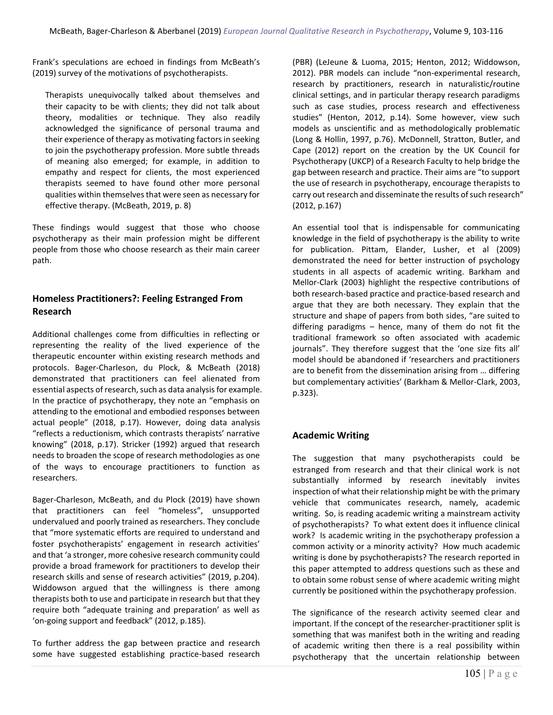Frank's speculations are echoed in findings from McBeath's (2019) survey of the motivations of psychotherapists.

Therapists unequivocally talked about themselves and their capacity to be with clients; they did not talk about theory, modalities or technique. They also readily acknowledged the significance of personal trauma and their experience of therapy as motivating factors in seeking to join the psychotherapy profession. More subtle threads of meaning also emerged; for example, in addition to empathy and respect for clients, the most experienced therapists seemed to have found other more personal qualities within themselves that were seen as necessary for effective therapy. (McBeath, 2019, p. 8)

These findings would suggest that those who choose psychotherapy as their main profession might be different people from those who choose research as their main career path.

#### **Homeless Practitioners?: Feeling Estranged From Research**

Additional challenges come from difficulties in reflecting or representing the reality of the lived experience of the therapeutic encounter within existing research methods and protocols. Bager-Charleson, du Plock, & McBeath (2018) demonstrated that practitioners can feel alienated from essential aspects of research, such as data analysis for example. In the practice of psychotherapy, they note an "emphasis on attending to the emotional and embodied responses between actual people" (2018, p.17). However, doing data analysis "reflects a reductionism, which contrasts therapists' narrative knowing" (2018, p.17). Stricker (1992) argued that research needs to broaden the scope of research methodologies as one of the ways to encourage practitioners to function as researchers.

Bager-Charleson, McBeath, and du Plock (2019) have shown that practitioners can feel "homeless", unsupported undervalued and poorly trained as researchers. They conclude that "more systematic efforts are required to understand and foster psychotherapists' engagement in research activities' and that 'a stronger, more cohesive research community could provide a broad framework for practitioners to develop their research skills and sense of research activities" (2019, p.204). Widdowson argued that the willingness is there among therapists both to use and participate in research but that they require both "adequate training and preparation' as well as 'on-going support and feedback" (2012, p.185).

To further address the gap between practice and research some have suggested establishing practice-based research (PBR) (LeJeune & Luoma, 2015; Henton, 2012; Widdowson, 2012). PBR models can include "non-experimental research, research by practitioners, research in naturalistic/routine clinical settings, and in particular therapy research paradigms such as case studies, process research and effectiveness studies" (Henton, 2012, p.14). Some however, view such models as unscientific and as methodologically problematic (Long & Hollin, 1997, p.76). McDonnell, Stratton, Butler, and Cape (2012) report on the creation by the UK Council for Psychotherapy (UKCP) of a Research Faculty to help bridge the gap between research and practice. Their aims are "to support the use of research in psychotherapy, encourage therapists to carry out research and disseminate the results of such research" (2012, p.167)

An essential tool that is indispensable for communicating knowledge in the field of psychotherapy is the ability to write for publication. Pittam, Elander, Lusher, et al (2009) demonstrated the need for better instruction of psychology students in all aspects of academic writing. Barkham and Mellor-Clark (2003) highlight the respective contributions of both research-based practice and practice-based research and argue that they are both necessary. They explain that the structure and shape of papers from both sides, "are suited to differing paradigms – hence, many of them do not fit the traditional framework so often associated with academic journals". They therefore suggest that the 'one size fits all' model should be abandoned if 'researchers and practitioners are to benefit from the dissemination arising from … differing but complementary activities' (Barkham & Mellor-Clark, 2003, p.323).

#### **Academic Writing**

The suggestion that many psychotherapists could be estranged from research and that their clinical work is not substantially informed by research inevitably invites inspection of what their relationship might be with the primary vehicle that communicates research, namely, academic writing. So, is reading academic writing a mainstream activity of psychotherapists? To what extent does it influence clinical work? Is academic writing in the psychotherapy profession a common activity or a minority activity? How much academic writing is done by psychotherapists? The research reported in this paper attempted to address questions such as these and to obtain some robust sense of where academic writing might currently be positioned within the psychotherapy profession.

The significance of the research activity seemed clear and important. If the concept of the researcher-practitioner split is something that was manifest both in the writing and reading of academic writing then there is a real possibility within psychotherapy that the uncertain relationship between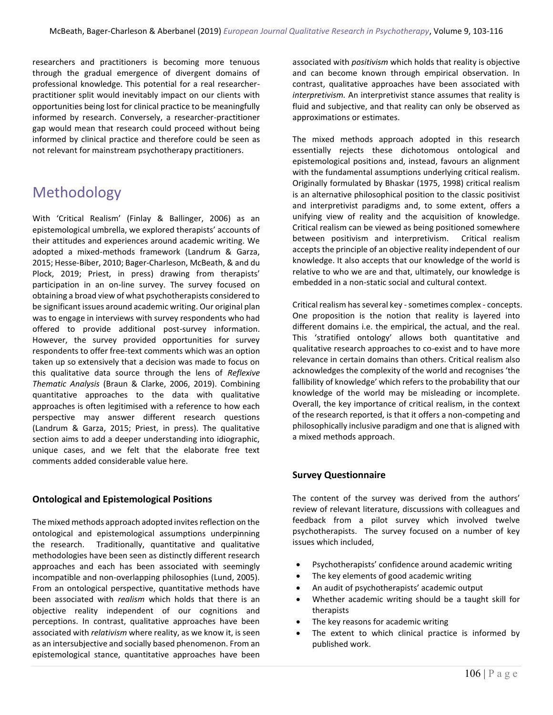researchers and practitioners is becoming more tenuous through the gradual emergence of divergent domains of professional knowledge. This potential for a real researcherpractitioner split would inevitably impact on our clients with opportunities being lost for clinical practice to be meaningfully informed by research. Conversely, a researcher-practitioner gap would mean that research could proceed without being informed by clinical practice and therefore could be seen as not relevant for mainstream psychotherapy practitioners.

# Methodology

With 'Critical Realism' (Finlay & Ballinger, 2006) as an epistemological umbrella, we explored therapists' accounts of their attitudes and experiences around academic writing. We adopted a mixed-methods framework (Landrum & Garza, 2015; Hesse-Biber, 2010; Bager-Charleson, McBeath, & and du Plock, 2019; Priest, in press) drawing from therapists' participation in an on-line survey. The survey focused on obtaining a broad view of what psychotherapists considered to be significant issues around academic writing. Our original plan was to engage in interviews with survey respondents who had offered to provide additional post-survey information. However, the survey provided opportunities for survey respondents to offer free-text comments which was an option taken up so extensively that a decision was made to focus on this qualitative data source through the lens of *Reflexive Thematic Analysis* (Braun & Clarke, 2006, 2019). Combining quantitative approaches to the data with qualitative approaches is often legitimised with a reference to how each perspective may answer different research questions (Landrum & Garza, 2015; Priest, in press). The qualitative section aims to add a deeper understanding into idiographic, unique cases, and we felt that the elaborate free text comments added considerable value here.

#### **Ontological and Epistemological Positions**

The mixed methods approach adopted invites reflection on the ontological and epistemological assumptions underpinning the research. Traditionally, quantitative and qualitative methodologies have been seen as distinctly different research approaches and each has been associated with seemingly incompatible and non-overlapping philosophies (Lund, 2005). From an ontological perspective, quantitative methods have been associated with *realism* which holds that there is an objective reality independent of our cognitions and perceptions. In contrast, qualitative approaches have been associated with *relativism* where reality, as we know it, is seen as an intersubjective and socially based phenomenon. From an epistemological stance, quantitative approaches have been associated with *positivism* which holds that reality is objective and can become known through empirical observation. In contrast, qualitative approaches have been associated with *interpretivism.* An interpretivist stance assumes that reality is fluid and subjective, and that reality can only be observed as approximations or estimates.

The mixed methods approach adopted in this research essentially rejects these dichotomous ontological and epistemological positions and, instead, favours an alignment with the fundamental assumptions underlying critical realism. Originally formulated by Bhaskar (1975, 1998) critical realism is an alternative philosophical position to the classic positivist and interpretivist paradigms and, to some extent, offers a unifying view of reality and the acquisition of knowledge. Critical realism can be viewed as being positioned somewhere between positivism and interpretivism. Critical realism accepts the principle of an objective reality independent of our knowledge. It also accepts that our knowledge of the world is relative to who we are and that, ultimately, our knowledge is embedded in a non-static social and cultural context.

Critical realism has several key -sometimes complex - concepts. One proposition is the notion that reality is layered into different domains i.e. the empirical, the actual, and the real. This 'stratified ontology' allows both quantitative and qualitative research approaches to co-exist and to have more relevance in certain domains than others. Critical realism also acknowledges the complexity of the world and recognises 'the fallibility of knowledge' which refers to the probability that our knowledge of the world may be misleading or incomplete. Overall, the key importance of critical realism, in the context of the research reported, is that it offers a non-competing and philosophically inclusive paradigm and one that is aligned with a mixed methods approach.

#### **Survey Questionnaire**

The content of the survey was derived from the authors' review of relevant literature, discussions with colleagues and feedback from a pilot survey which involved twelve psychotherapists. The survey focused on a number of key issues which included,

- Psychotherapists' confidence around academic writing
- The key elements of good academic writing
- An audit of psychotherapists' academic output
- Whether academic writing should be a taught skill for therapists
- The key reasons for academic writing
- The extent to which clinical practice is informed by published work.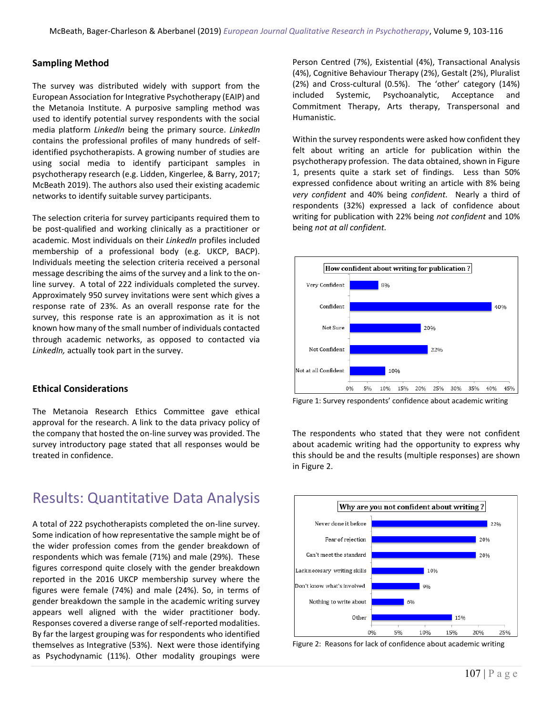#### **Sampling Method**

The survey was distributed widely with support from the European Association for Integrative Psychotherapy (EAIP) and the Metanoia Institute. A purposive sampling method was used to identify potential survey respondents with the social media platform *LinkedIn* being the primary source. *LinkedIn* contains the professional profiles of many hundreds of selfidentified psychotherapists. A growing number of studies are using social media to identify participant samples in psychotherapy research (e.g. Lidden, Kingerlee, & Barry, 2017; McBeath 2019). The authors also used their existing academic networks to identify suitable survey participants.

The selection criteria for survey participants required them to be post-qualified and working clinically as a practitioner or academic. Most individuals on their *LinkedIn* profiles included membership of a professional body (e.g. UKCP, BACP). Individuals meeting the selection criteria received a personal message describing the aims of the survey and a link to the online survey. A total of 222 individuals completed the survey. Approximately 950 survey invitations were sent which gives a response rate of 23%. As an overall response rate for the survey, this response rate is an approximation as it is not known how many of the small number of individuals contacted through academic networks, as opposed to contacted via *LinkedIn,* actually took part in the survey.

#### **Ethical Considerations**

The Metanoia Research Ethics Committee gave ethical approval for the research. A link to the data privacy policy of the company that hosted the on-line survey was provided. The survey introductory page stated that all responses would be treated in confidence.

### Results: Quantitative Data Analysis

A total of 222 psychotherapists completed the on-line survey. Some indication of how representative the sample might be of the wider profession comes from the gender breakdown of respondents which was female (71%) and male (29%). These figures correspond quite closely with the gender breakdown reported in the 2016 UKCP membership survey where the figures were female (74%) and male (24%). So, in terms of gender breakdown the sample in the academic writing survey appears well aligned with the wider practitioner body. Responses covered a diverse range of self-reported modalities. By far the largest grouping was for respondents who identified themselves as Integrative (53%). Next were those identifying as Psychodynamic (11%). Other modality groupings were Person Centred (7%), Existential (4%), Transactional Analysis (4%), Cognitive Behaviour Therapy (2%), Gestalt (2%), Pluralist (2%) and Cross-cultural (0.5%). The 'other' category (14%) included Systemic, Psychoanalytic, Acceptance and Commitment Therapy, Arts therapy, Transpersonal and Humanistic.

Within the survey respondents were asked how confident they felt about writing an article for publication within the psychotherapy profession. The data obtained, shown in Figure 1, presents quite a stark set of findings. Less than 50% expressed confidence about writing an article with 8% being *very confident* and 40% being *confident.* Nearly a third of respondents (32%) expressed a lack of confidence about writing for publication with 22% being *not confident* and 10% being *not at all confident.* 



Figure 1: Survey respondents' confidence about academic writing

The respondents who stated that they were not confident about academic writing had the opportunity to express why this should be and the results (multiple responses) are shown in Figure 2.



Figure 2: Reasons for lack of confidence about academic writing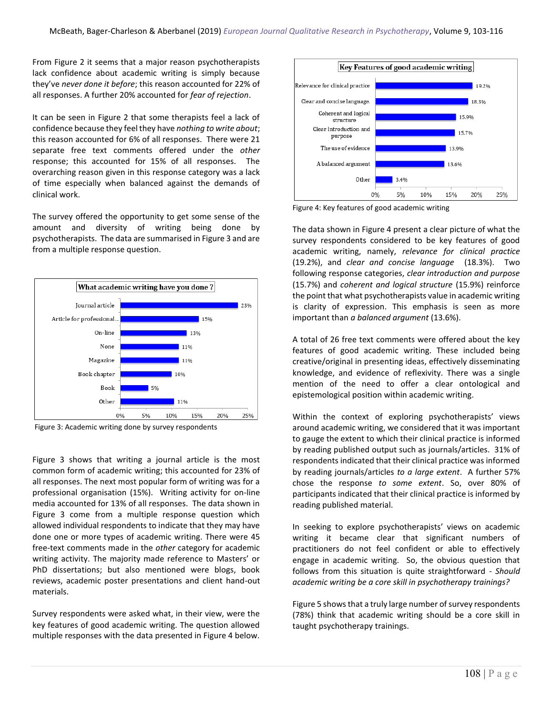From Figure 2 it seems that a major reason psychotherapists lack confidence about academic writing is simply because they've *never done it before*; this reason accounted for 22% of all responses. A further 20% accounted for *fear of rejection*.

It can be seen in Figure 2 that some therapists feel a lack of confidence because they feel they have *nothing to write about*; this reason accounted for 6% of all responses. There were 21 separate free text comments offered under the *other* response; this accounted for 15% of all responses. The overarching reason given in this response category was a lack of time especially when balanced against the demands of clinical work.

The survey offered the opportunity to get some sense of the amount and diversity of writing being done by psychotherapists. The data are summarised in Figure 3 and are from a multiple response question.



Figure 3: Academic writing done by survey respondents

Figure 3 shows that writing a journal article is the most common form of academic writing; this accounted for 23% of all responses. The next most popular form of writing was for a professional organisation (15%). Writing activity for on-line media accounted for 13% of all responses. The data shown in Figure 3 come from a multiple response question which allowed individual respondents to indicate that they may have done one or more types of academic writing. There were 45 free-text comments made in the *other* category for academic writing activity. The majority made reference to Masters' or PhD dissertations; but also mentioned were blogs, book reviews, academic poster presentations and client hand-out materials.

Survey respondents were asked what, in their view, were the key features of good academic writing. The question allowed multiple responses with the data presented in Figure 4 below.



Figure 4: Key features of good academic writing

The data shown in Figure 4 present a clear picture of what the survey respondents considered to be key features of good academic writing, namely, *relevance for clinical practice* (19.2%), and *clear and concise language* (18.3%). Two following response categories, *clear introduction and purpose* (15.7%) and *coherent and logical structure* (15.9%) reinforce the point that what psychotherapists value in academic writing is clarity of expression. This emphasis is seen as more important than *a balanced argument* (13.6%).

A total of 26 free text comments were offered about the key features of good academic writing. These included being creative/original in presenting ideas, effectively disseminating knowledge, and evidence of reflexivity. There was a single mention of the need to offer a clear ontological and epistemological position within academic writing.

Within the context of exploring psychotherapists' views around academic writing, we considered that it was important to gauge the extent to which their clinical practice is informed by reading published output such as journals/articles. 31% of respondents indicated that their clinical practice was informed by reading journals/articles *to a large extent*. A further 57% chose the response *to some extent*. So, over 80% of participants indicated that their clinical practice is informed by reading published material.

In seeking to explore psychotherapists' views on academic writing it became clear that significant numbers of practitioners do not feel confident or able to effectively engage in academic writing. So, the obvious question that follows from this situation is quite straightforward - *Should academic writing be a core skill in psychotherapy trainings?*

Figure 5 shows that a truly large number of survey respondents (78%) think that academic writing should be a core skill in taught psychotherapy trainings.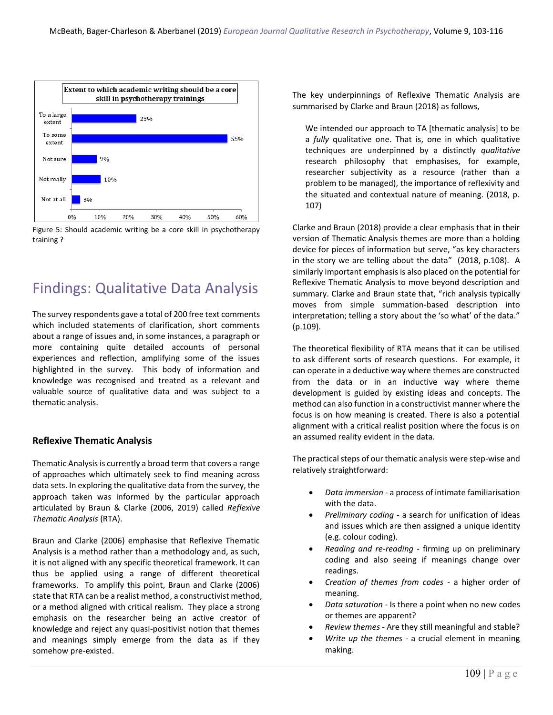

Figure 5: Should academic writing be a core skill in psychotherapy training ?

## Findings: Qualitative Data Analysis

The survey respondents gave a total of 200 free text comments which included statements of clarification, short comments about a range of issues and, in some instances, a paragraph or more containing quite detailed accounts of personal experiences and reflection, amplifying some of the issues highlighted in the survey. This body of information and knowledge was recognised and treated as a relevant and valuable source of qualitative data and was subject to a thematic analysis.

#### **Reflexive Thematic Analysis**

Thematic Analysis is currently a broad term that covers a range of approaches which ultimately seek to find meaning across data sets. In exploring the qualitative data from the survey, the approach taken was informed by the particular approach articulated by Braun & Clarke (2006, 2019) called *Reflexive Thematic Analysis* (RTA).

Braun and Clarke (2006) emphasise that Reflexive Thematic Analysis is a method rather than a methodology and, as such, it is not aligned with any specific theoretical framework. It can thus be applied using a range of different theoretical frameworks. To amplify this point, Braun and Clarke (2006) state that RTA can be a realist method, a constructivist method, or a method aligned with critical realism. They place a strong emphasis on the researcher being an active creator of knowledge and reject any quasi-positivist notion that themes and meanings simply emerge from the data as if they somehow pre-existed.

The key underpinnings of Reflexive Thematic Analysis are summarised by Clarke and Braun (2018) as follows,

We intended our approach to TA [thematic analysis] to be a *fully* qualitative one. That is, one in which qualitative techniques are underpinned by a distinctly *qualitative* research philosophy that emphasises, for example, researcher subjectivity as a resource (rather than a problem to be managed), the importance of reflexivity and the situated and contextual nature of meaning. (2018, p. 107)

Clarke and Braun (2018) provide a clear emphasis that in their version of Thematic Analysis themes are more than a holding device for pieces of information but serve, "as key characters in the story we are telling about the data" (2018, p.108). A similarly important emphasis is also placed on the potential for Reflexive Thematic Analysis to move beyond description and summary. Clarke and Braun state that, "rich analysis typically moves from simple summation-based description into interpretation; telling a story about the 'so what' of the data." (p.109).

The theoretical flexibility of RTA means that it can be utilised to ask different sorts of research questions. For example, it can operate in a deductive way where themes are constructed from the data or in an inductive way where theme development is guided by existing ideas and concepts. The method can also function in a constructivist manner where the focus is on how meaning is created. There is also a potential alignment with a critical realist position where the focus is on an assumed reality evident in the data.

The practical steps of our thematic analysis were step-wise and relatively straightforward:

- *Data immersion* a process of intimate familiarisation with the data.
- *Preliminary coding* a search for unification of ideas and issues which are then assigned a unique identity (e.g. colour coding).
- *Reading and re-reading -* firming up on preliminary coding and also seeing if meanings change over readings.
- *Creation of themes from codes -* a higher order of meaning.
- *Data saturation -* Is there a point when no new codes or themes are apparent?
- *Review themes -* Are they still meaningful and stable?
- *Write up the themes -* a crucial element in meaning making.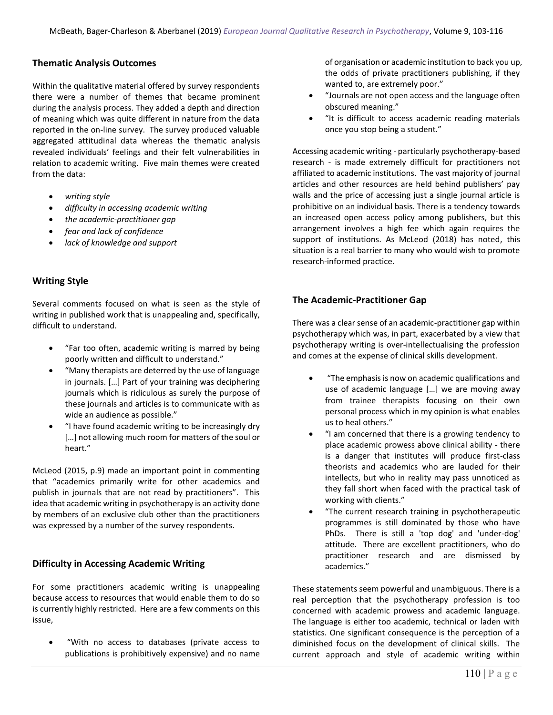#### **Thematic Analysis Outcomes**

Within the qualitative material offered by survey respondents there were a number of themes that became prominent during the analysis process. They added a depth and direction of meaning which was quite different in nature from the data reported in the on-line survey. The survey produced valuable aggregated attitudinal data whereas the thematic analysis revealed individuals' feelings and their felt vulnerabilities in relation to academic writing. Five main themes were created from the data:

- *writing style*
- *difficulty in accessing academic writing*
- *the academic-practitioner gap*
- *fear and lack of confidence*
- *lack of knowledge and support*

#### **Writing Style**

Several comments focused on what is seen as the style of writing in published work that is unappealing and, specifically, difficult to understand.

- "Far too often, academic writing is marred by being poorly written and difficult to understand."
- "Many therapists are deterred by the use of language in journals. […] Part of your training was deciphering journals which is ridiculous as surely the purpose of these journals and articles is to communicate with as wide an audience as possible."
- "I have found academic writing to be increasingly dry [...] not allowing much room for matters of the soul or heart."

McLeod (2015, p.9) made an important point in commenting that "academics primarily write for other academics and publish in journals that are not read by practitioners". This idea that academic writing in psychotherapy is an activity done by members of an exclusive club other than the practitioners was expressed by a number of the survey respondents.

#### **Difficulty in Accessing Academic Writing**

For some practitioners academic writing is unappealing because access to resources that would enable them to do so is currently highly restricted. Here are a few comments on this issue,

• "With no access to databases (private access to publications is prohibitively expensive) and no name of organisation or academic institution to back you up, the odds of private practitioners publishing, if they wanted to, are extremely poor."

- "Journals are not open access and the language often obscured meaning."
- "It is difficult to access academic reading materials once you stop being a student."

Accessing academic writing - particularly psychotherapy-based research - is made extremely difficult for practitioners not affiliated to academic institutions. The vast majority of journal articles and other resources are held behind publishers' pay walls and the price of accessing just a single journal article is prohibitive on an individual basis. There is a tendency towards an increased open access policy among publishers, but this arrangement involves a high fee which again requires the support of institutions. As McLeod (2018) has noted, this situation is a real barrier to many who would wish to promote research-informed practice.

#### **The Academic-Practitioner Gap**

There was a clear sense of an academic-practitioner gap within psychotherapy which was, in part, exacerbated by a view that psychotherapy writing is over-intellectualising the profession and comes at the expense of clinical skills development.

- "The emphasis is now on academic qualifications and use of academic language […] we are moving away from trainee therapists focusing on their own personal process which in my opinion is what enables us to heal others."
- "I am concerned that there is a growing tendency to place academic prowess above clinical ability - there is a danger that institutes will produce first-class theorists and academics who are lauded for their intellects, but who in reality may pass unnoticed as they fall short when faced with the practical task of working with clients."
- "The current research training in psychotherapeutic programmes is still dominated by those who have PhDs. There is still a 'top dog' and 'under-dog' attitude. There are excellent practitioners, who do practitioner research and are dismissed by academics."

These statements seem powerful and unambiguous. There is a real perception that the psychotherapy profession is too concerned with academic prowess and academic language. The language is either too academic, technical or laden with statistics. One significant consequence is the perception of a diminished focus on the development of clinical skills. The current approach and style of academic writing within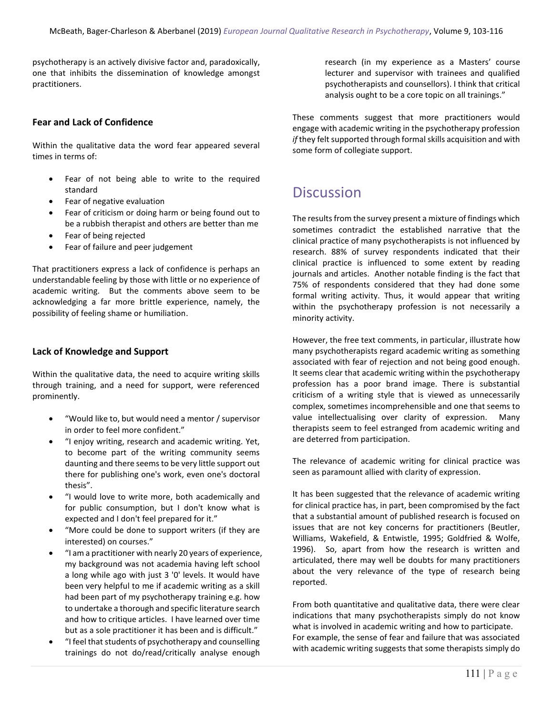psychotherapy is an actively divisive factor and, paradoxically, one that inhibits the dissemination of knowledge amongst practitioners.

#### **Fear and Lack of Confidence**

Within the qualitative data the word fear appeared several times in terms of:

- Fear of not being able to write to the required standard
- Fear of negative evaluation
- Fear of criticism or doing harm or being found out to be a rubbish therapist and others are better than me
- Fear of being rejected
- Fear of failure and peer judgement

That practitioners express a lack of confidence is perhaps an understandable feeling by those with little or no experience of academic writing. But the comments above seem to be acknowledging a far more brittle experience, namely, the possibility of feeling shame or humiliation.

#### **Lack of Knowledge and Support**

Within the qualitative data, the need to acquire writing skills through training, and a need for support, were referenced prominently.

- "Would like to, but would need a mentor / supervisor in order to feel more confident."
- "I enjoy writing, research and academic writing. Yet, to become part of the writing community seems daunting and there seems to be very little support out there for publishing one's work, even one's doctoral thesis".
- "I would love to write more, both academically and for public consumption, but I don't know what is expected and I don't feel prepared for it."
- "More could be done to support writers (if they are interested) on courses."
- "I am a practitioner with nearly 20 years of experience, my background was not academia having left school a long while ago with just 3 '0' levels. It would have been very helpful to me if academic writing as a skill had been part of my psychotherapy training e.g. how to undertake a thorough and specific literature search and how to critique articles. I have learned over time but as a sole practitioner it has been and is difficult."
- "I feel that students of psychotherapy and counselling trainings do not do/read/critically analyse enough

research (in my experience as a Masters' course lecturer and supervisor with trainees and qualified psychotherapists and counsellors). I think that critical analysis ought to be a core topic on all trainings."

These comments suggest that more practitioners would engage with academic writing in the psychotherapy profession *if* they felt supported through formal skills acquisition and with some form of collegiate support.

### **Discussion**

The results from the survey present a mixture of findings which sometimes contradict the established narrative that the clinical practice of many psychotherapists is not influenced by research. 88% of survey respondents indicated that their clinical practice is influenced to some extent by reading journals and articles. Another notable finding is the fact that 75% of respondents considered that they had done some formal writing activity. Thus, it would appear that writing within the psychotherapy profession is not necessarily a minority activity.

However, the free text comments, in particular, illustrate how many psychotherapists regard academic writing as something associated with fear of rejection and not being good enough. It seems clear that academic writing within the psychotherapy profession has a poor brand image. There is substantial criticism of a writing style that is viewed as unnecessarily complex, sometimes incomprehensible and one that seems to value intellectualising over clarity of expression. Many therapists seem to feel estranged from academic writing and are deterred from participation.

The relevance of academic writing for clinical practice was seen as paramount allied with clarity of expression.

It has been suggested that the relevance of academic writing for clinical practice has, in part, been compromised by the fact that a substantial amount of published research is focused on issues that are not key concerns for practitioners (Beutler, Williams, Wakefield, & Entwistle, 1995; Goldfried & Wolfe, 1996). So, apart from how the research is written and articulated, there may well be doubts for many practitioners about the very relevance of the type of research being reported.

From both quantitative and qualitative data, there were clear indications that many psychotherapists simply do not know what is involved in academic writing and how to participate. For example, the sense of fear and failure that was associated with academic writing suggests that some therapists simply do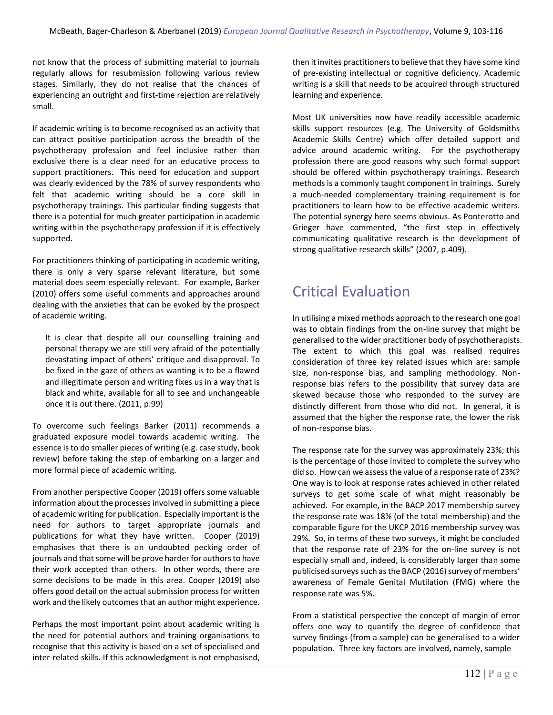not know that the process of submitting material to journals regularly allows for resubmission following various review stages. Similarly, they do not realise that the chances of experiencing an outright and first-time rejection are relatively small.

If academic writing is to become recognised as an activity that can attract positive participation across the breadth of the psychotherapy profession and feel inclusive rather than exclusive there is a clear need for an educative process to support practitioners. This need for education and support was clearly evidenced by the 78% of survey respondents who felt that academic writing should be a core skill in psychotherapy trainings. This particular finding suggests that there is a potential for much greater participation in academic writing within the psychotherapy profession if it is effectively supported.

For practitioners thinking of participating in academic writing, there is only a very sparse relevant literature, but some material does seem especially relevant. For example, Barker (2010) offers some useful comments and approaches around dealing with the anxieties that can be evoked by the prospect of academic writing.

It is clear that despite all our counselling training and personal therapy we are still very afraid of the potentially devastating impact of others' critique and disapproval. To be fixed in the gaze of others as wanting is to be a flawed and illegitimate person and writing fixes us in a way that is black and white, available for all to see and unchangeable once it is out there. (2011, p.99)

To overcome such feelings Barker (2011) recommends a graduated exposure model towards academic writing. The essence is to do smaller pieces of writing (e.g. case study, book review) before taking the step of embarking on a larger and more formal piece of academic writing.

From another perspective Cooper (2019) offers some valuable information about the processes involved in submitting a piece of academic writing for publication. Especially important is the need for authors to target appropriate journals and publications for what they have written. Cooper (2019) emphasises that there is an undoubted pecking order of journals and that some will be prove harder for authors to have their work accepted than others. In other words, there are some decisions to be made in this area. Cooper (2019) also offers good detail on the actual submission process for written work and the likely outcomes that an author might experience.

Perhaps the most important point about academic writing is the need for potential authors and training organisations to recognise that this activity is based on a set of specialised and inter-related skills. If this acknowledgment is not emphasised, then it invites practitioners to believe that they have some kind of pre-existing intellectual or cognitive deficiency. Academic writing is a skill that needs to be acquired through structured learning and experience.

Most UK universities now have readily accessible academic skills support resources (e.g. The University of Goldsmiths Academic Skills Centre) which offer detailed support and advice around academic writing. For the psychotherapy profession there are good reasons why such formal support should be offered within psychotherapy trainings. Research methods is a commonly taught component in trainings. Surely a much-needed complementary training requirement is for practitioners to learn how to be effective academic writers. The potential synergy here seems obvious. As Ponterotto and Grieger have commented, "the first step in effectively communicating qualitative research is the development of strong qualitative research skills" (2007, p.409).

### Critical Evaluation

In utilising a mixed methods approach to the research one goal was to obtain findings from the on-line survey that might be generalised to the wider practitioner body of psychotherapists. The extent to which this goal was realised requires consideration of three key related issues which are: sample size, non-response bias, and sampling methodology. Nonresponse bias refers to the possibility that survey data are skewed because those who responded to the survey are distinctly different from those who did not. In general, it is assumed that the higher the response rate, the lower the risk of non-response bias.

The response rate for the survey was approximately 23%; this is the percentage of those invited to complete the survey who did so. How can we assess the value of a response rate of 23%? One way is to look at response rates achieved in other related surveys to get some scale of what might reasonably be achieved. For example, in the BACP 2017 membership survey the response rate was 18% (of the total membership) and the comparable figure for the UKCP 2016 membership survey was 29%. So, in terms of these two surveys, it might be concluded that the response rate of 23% for the on-line survey is not especially small and, indeed, is considerably larger than some publicised surveys such as the BACP (2016) survey of members' awareness of Female Genital Mutilation (FMG) where the response rate was 5%.

From a statistical perspective the concept of margin of error offers one way to quantify the degree of confidence that survey findings (from a sample) can be generalised to a wider population. Three key factors are involved, namely, sample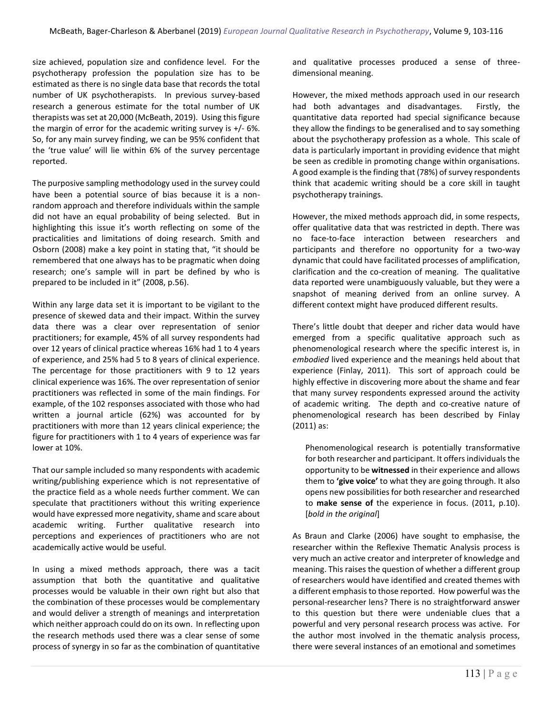size achieved, population size and confidence level. For the psychotherapy profession the population size has to be estimated as there is no single data base that records the total number of UK psychotherapists. In previous survey-based research a generous estimate for the total number of UK therapists was set at 20,000 (McBeath, 2019). Using this figure the margin of error for the academic writing survey is +/- 6%. So, for any main survey finding, we can be 95% confident that the 'true value' will lie within 6% of the survey percentage reported.

The purposive sampling methodology used in the survey could have been a potential source of bias because it is a nonrandom approach and therefore individuals within the sample did not have an equal probability of being selected. But in highlighting this issue it's worth reflecting on some of the practicalities and limitations of doing research. Smith and Osborn (2008) make a key point in stating that, "it should be remembered that one always has to be pragmatic when doing research; one's sample will in part be defined by who is prepared to be included in it" (2008, p.56).

Within any large data set it is important to be vigilant to the presence of skewed data and their impact. Within the survey data there was a clear over representation of senior practitioners; for example, 45% of all survey respondents had over 12 years of clinical practice whereas 16% had 1 to 4 years of experience, and 25% had 5 to 8 years of clinical experience. The percentage for those practitioners with 9 to 12 years clinical experience was 16%. The over representation of senior practitioners was reflected in some of the main findings. For example, of the 102 responses associated with those who had written a journal article (62%) was accounted for by practitioners with more than 12 years clinical experience; the figure for practitioners with 1 to 4 years of experience was far lower at 10%.

That our sample included so many respondents with academic writing/publishing experience which is not representative of the practice field as a whole needs further comment. We can speculate that practitioners without this writing experience would have expressed more negativity, shame and scare about academic writing. Further qualitative research into perceptions and experiences of practitioners who are not academically active would be useful.

In using a mixed methods approach, there was a tacit assumption that both the quantitative and qualitative processes would be valuable in their own right but also that the combination of these processes would be complementary and would deliver a strength of meanings and interpretation which neither approach could do on its own. In reflecting upon the research methods used there was a clear sense of some process of synergy in so far as the combination of quantitative and qualitative processes produced a sense of threedimensional meaning.

However, the mixed methods approach used in our research had both advantages and disadvantages. Firstly, the quantitative data reported had special significance because they allow the findings to be generalised and to say something about the psychotherapy profession as a whole. This scale of data is particularly important in providing evidence that might be seen as credible in promoting change within organisations. A good example is the finding that (78%) of survey respondents think that academic writing should be a core skill in taught psychotherapy trainings.

However, the mixed methods approach did, in some respects, offer qualitative data that was restricted in depth. There was no face-to-face interaction between researchers and participants and therefore no opportunity for a two-way dynamic that could have facilitated processes of amplification, clarification and the co-creation of meaning. The qualitative data reported were unambiguously valuable, but they were a snapshot of meaning derived from an online survey. A different context might have produced different results.

There's little doubt that deeper and richer data would have emerged from a specific qualitative approach such as phenomenological research where the specific interest is, in *embodied* lived experience and the meanings held about that experience (Finlay, 2011). This sort of approach could be highly effective in discovering more about the shame and fear that many survey respondents expressed around the activity of academic writing. The depth and co-creative nature of phenomenological research has been described by Finlay (2011) as:

Phenomenological research is potentially transformative for both researcher and participant. It offers individuals the opportunity to be **witnessed** in their experience and allows them to **'give voice'** to what they are going through. It also opens new possibilities for both researcher and researched to **make sense of** the experience in focus. (2011, p.10). [*bold in the original*]

As Braun and Clarke (2006) have sought to emphasise, the researcher within the Reflexive Thematic Analysis process is very much an active creator and interpreter of knowledge and meaning. This raises the question of whether a different group of researchers would have identified and created themes with a different emphasis to those reported. How powerful was the personal-researcher lens? There is no straightforward answer to this question but there were undeniable clues that a powerful and very personal research process was active. For the author most involved in the thematic analysis process, there were several instances of an emotional and sometimes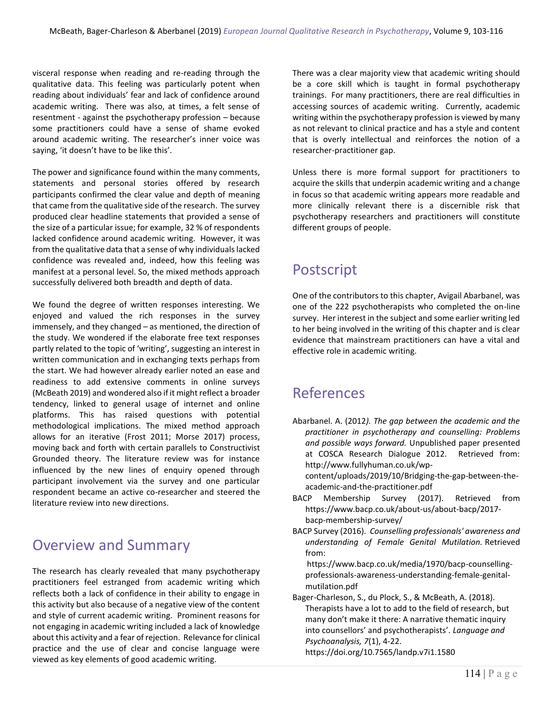visceral response when reading and re-reading through the qualitative data. This feeling was particularly potent when reading about individuals' fear and lack of confidence around academic writing. There was also, at times, a felt sense of resentment - against the psychotherapy profession – because some practitioners could have a sense of shame evoked around academic writing. The researcher's inner voice was saying, 'it doesn't have to be like this'.

The power and significance found within the many comments, statements and personal stories offered by research participants confirmed the clear value and depth of meaning that came from the qualitative side of the research. The survey produced clear headline statements that provided a sense of the size of a particular issue; for example, 32 % of respondents lacked confidence around academic writing. However, it was from the qualitative data that a sense of why individuals lacked confidence was revealed and, indeed, how this feeling was manifest at a personal level. So, the mixed methods approach successfully delivered both breadth and depth of data.

We found the degree of written responses interesting. We enjoyed and valued the rich responses in the survey immensely, and they changed – as mentioned, the direction of the study. We wondered if the elaborate free text responses partly related to the topic of 'writing', suggesting an interest in written communication and in exchanging texts perhaps from the start. We had however already earlier noted an ease and readiness to add extensive comments in online surveys (McBeath 2019) and wondered also if it might reflect a broader tendency, linked to general usage of internet and online platforms. This has raised questions with potential methodological implications. The mixed method approach allows for an iterative (Frost 2011; Morse 2017) process, moving back and forth with certain parallels to Constructivist Grounded theory. The literature review was for instance influenced by the new lines of enquiry opened through participant involvement via the survey and one particular respondent became an active co-researcher and steered the literature review into new directions.

### Overview and Summary

The research has clearly revealed that many psychotherapy practitioners feel estranged from academic writing which reflects both a lack of confidence in their ability to engage in this activity but also because of a negative view of the content and style of current academic writing. Prominent reasons for not engaging in academic writing included a lack of knowledge about this activity and a fear of rejection. Relevance for clinical practice and the use of clear and concise language were viewed as key elements of good academic writing.

There was a clear majority view that academic writing should be a core skill which is taught in formal psychotherapy trainings. For many practitioners, there are real difficulties in accessing sources of academic writing. Currently, academic writing within the psychotherapy profession is viewed by many as not relevant to clinical practice and has a style and content that is overly intellectual and reinforces the notion of a researcher-practitioner gap.

Unless there is more formal support for practitioners to acquire the skills that underpin academic writing and a change in focus so that academic writing appears more readable and more clinically relevant there is a discernible risk that psychotherapy researchers and practitioners will constitute different groups of people.

# Postscript

One of the contributors to this chapter, Avigail Abarbanel, was one of the 222 psychotherapists who completed the on-line survey. Her interest in the subject and some earlier writing led to her being involved in the writing of this chapter and is clear evidence that mainstream practitioners can have a vital and effective role in academic writing.

### References

Abarbanel. A. (2012*). The gap between the academic and the practitioner in psychotherapy and counselling: Problems and possible ways forward.* Unpublished paper presented at COSCA Research Dialogue 2012. Retrieved from: http://www.fullyhuman.co.uk/wp-

content/uploads/2019/10/Bridging-the-gap-between-theacademic-and-the-practitioner.pdf

- BACP Membership Survey (2017). Retrieved from https://www.bacp.co.uk/about-us/about-bacp/2017 bacp-membership-survey/
- BACP Survey (2016). *Counselling professionals' awareness and understanding of Female Genital Mutilation.* Retrieved from:

 https://www.bacp.co.uk/media/1970/bacp-counsellingprofessionals-awareness-understanding-female-genitalmutilation.pdf

Bager-Charleson, S., du Plock, S., & McBeath, A. (2018). Therapists have a lot to add to the field of research, but many don't make it there: A narrative thematic inquiry into counsellors' and psychotherapists'. *Language and Psychoanalysis, 7*(1), 4-22.

https://doi.org/10.7565/landp.v7i1.1580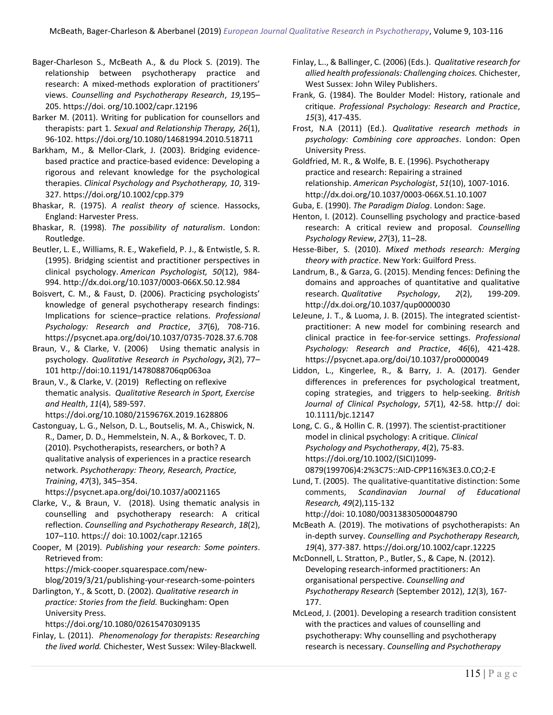Bager-Charleson S., McBeath A., & du Plock S. (2019). The relationship between psychotherapy practice and research: A mixed-methods exploration of practitioners' views. *Counselling and Psychotherapy Research*, *19,*195– 205. https://doi. org/10.1002/capr.12196

Barker M. (2011). Writing for publication for counsellors and therapists: part 1. *Sexual and Relationship Therapy, 26*(1), 96-102. https://doi.org/10.1080/14681994.2010.518711

Barkham, M., & Mellor-Clark, J. (2003). Bridging evidencebased practice and practice-based evidence: Developing a rigorous and relevant knowledge for the psychological therapies. *Clinical Psychology and Psychotherapy, 10*, 319- 327. https://doi.org/10.1002/cpp.379

Bhaskar, R. (1975). *A realist theory of* science. Hassocks, England: Harvester Press.

Bhaskar, R. (1998). *The possibility of naturalism*. London: Routledge.

Beutler, L. E., Williams, R. E., Wakefield, P. J., & Entwistle, S. R. (1995). Bridging scientist and practitioner perspectives in clinical psychology. *American Psychologist, 50*(12), 984- 994. [http://dx.doi.org/10.1037/0003-066X.50.12.984](https://psycnet.apa.org/doi/10.1037/0003-066X.50.12.984)

Boisvert, C. M., & Faust, D. (2006). Practicing psychologists' knowledge of general psychotherapy research findings: Implications for science–practice relations. *Professional Psychology: Research and Practice*, *37*(6), 708-716. https://psycnet.apa.org/doi/10.1037/0735-7028.37.6.708

Braun, V., & Clarke, V. (2006) Using thematic analysis in psychology. *Qualitative Research in Psychology***,** *3*(2), 77– 101 http://doi:10.1191/1478088706qp063oa

Braun, V., & Clarke, V. (2019) Reflecting on reflexive thematic analysis. *Qualitative Research in Sport, Exercise and Health*, *11*(4), 589-597.

https://doi.org/10.1080/2159676X.2019.1628806 Castonguay, L. G., Nelson, D. L., Boutselis, M. A., Chiswick, N.

R., Damer, D. D., Hemmelstein, N. A., & Borkovec, T. D. (2010). Psychotherapists, researchers, or both? A qualitative analysis of experiences in a practice research network. *Psychotherapy: Theory, Research, Practice, Training*, *47*(3), 345–354.

https://psycnet.apa.org/doi/10.1037/a0021165

Clarke, V., & Braun, V. (2018). Using thematic analysis in counselling and psychotherapy research: A critical reflection. *Counselling and Psychotherapy Research*, *18*(2), 107–110. https:// doi: 10.1002/capr.12165

Cooper, M (2019). *Publishing your research: Some pointers*. Retrieved from:

https://mick-cooper.squarespace.com/new-

blog/2019/3/21/publishing-your-research-some-pointers Darlington, Y., & Scott, D. (2002). *Qualitative research in* 

*practice: Stories from the field.* Buckingham: Open University Press.

<https://doi.org/10.1080/02615470309135>

Finlay, L. (2011).*Phenomenology for therapists: Researching the lived world.* Chichester, West Sussex: Wiley-Blackwell*.*

Finlay, L.., & Ballinger, C. (2006) (Eds.). *Qualitative research for allied health professionals: Challenging choices.* Chichester, West Sussex: John Wiley Publishers.

Frank, G. (1984). The Boulder Model: History, rationale and critique. *Professional Psychology: Research and Practice*, *15*(3), 417-435.

Frost, N.A (2011) (Ed.). *Qualitative research methods in psychology: Combining core approaches*. London: Open University Press.

Goldfried, M. R., & Wolfe, B. E. (1996). Psychotherapy practice and research: Repairing a strained relationship. *American Psychologist*, *51*(10), 1007-1016. [http://dx.doi.org/10.1037/0003-066X.51.10.1007](https://psycnet.apa.org/doi/10.1037/0003-066X.51.10.1007)

Guba, E. (1990). *The Paradigm Dialog*. London: Sage.

Henton, I. (2012). Counselling psychology and practice-based research: A critical review and proposal. *Counselling Psychology Review*, *27*(3), 11–28.

Hesse-Biber, S. (2010). *Mixed methods research: Merging theory with practice*. New York: Guilford Press.

Landrum, B., & Garza, G. (2015). Mending fences: Defining the domains and approaches of quantitative and qualitative research. *Qualitative Psychology*, *2*(2), 199-209. [http://dx.doi.org/10.1037/qup0000030](https://psycnet.apa.org/doi/10.1037/qup0000030)

LeJeune, J. T., & Luoma, J. B. (2015). The integrated scientistpractitioner: A new model for combining research and clinical practice in fee-for-service settings. *Professional Psychology: Research and Practice*, *46*(6), 421-428. <https://psycnet.apa.org/doi/10.1037/pro0000049>

Liddon, L., Kingerlee, R., & Barry, J. A. (2017). Gender differences in preferences for psychological treatment, coping strategies, and triggers to help-seeking. *British Journal of Clinical Psychology*, *57*(1), 42-58. http:// doi: 10.1111/bjc.12147

Long, C. G., & Hollin C. R. (1997). The scientist-practitioner model in clinical psychology: A critique. *Clinical Psychology and Psychotherapy*, *4*(2), 75-83. https://doi.org/10.1002/(SICI)1099- 0879(199706)4:2%3C75::AID-CPP116%3E3.0.CO;2-E

Lund, T. (2005). The qualitative-quantitative distinction: Some comments, *Scandinavian Journal of Educational Research, 49*(2),115-132

http://doi: [10.1080/00313830500048790](https://www.researchgate.net/deref/http%3A%2F%2Fdx.doi.org%2F10.1080%2F00313830500048790?_sg%5B0%5D=crRglJ-uD76ldHrr2F-6PIt4XBJS-H72qxLyxvIKF0nRbT1xkMubcsz9pAkALvuVqN4h551ezQxC5j1Un77-NPDi9w.xPmHVERr8Z3wfnEs1BcYtAWkklIitHLyhRIs2KnLn1jVwHt9JraNNHGG4aWkm3SkL-rhT2oe6wmzKpTcw6gpKg&_sg%5B1%5D=pWtBmVrilNpXK802XrN6RaRXEfGOJQtdpOfOkc22hdHflL3EEdzXff3fyaSgmBQvEGPEm0pHC62u.UH3ox0v5elRnqrx59mHYPE4tbFwvnQzJreZQZ6RSe9tlVXqoKITrrScdP0Zag1zlV64DWmje18p1gW3AJPFKOw)

McBeath A. (2019). The motivations of psychotherapists: An in-depth survey. *Counselling and Psychotherapy Research, 19*(4), 377-387*.* <https://doi.org/10.1002/capr.12225>

McDonnell, L. Stratton, P., Butler, S., & Cape, N. (2012). Developing research-informed practitioners: An organisational perspective. *Counselling and Psychotherapy Research* (September 2012), *12*(3), 167- 177.

McLeod, J. (2001). Developing a research tradition consistent with the practices and values of counselling and psychotherapy: Why counselling and psychotherapy research is necessary. *Counselling and Psychotherapy*